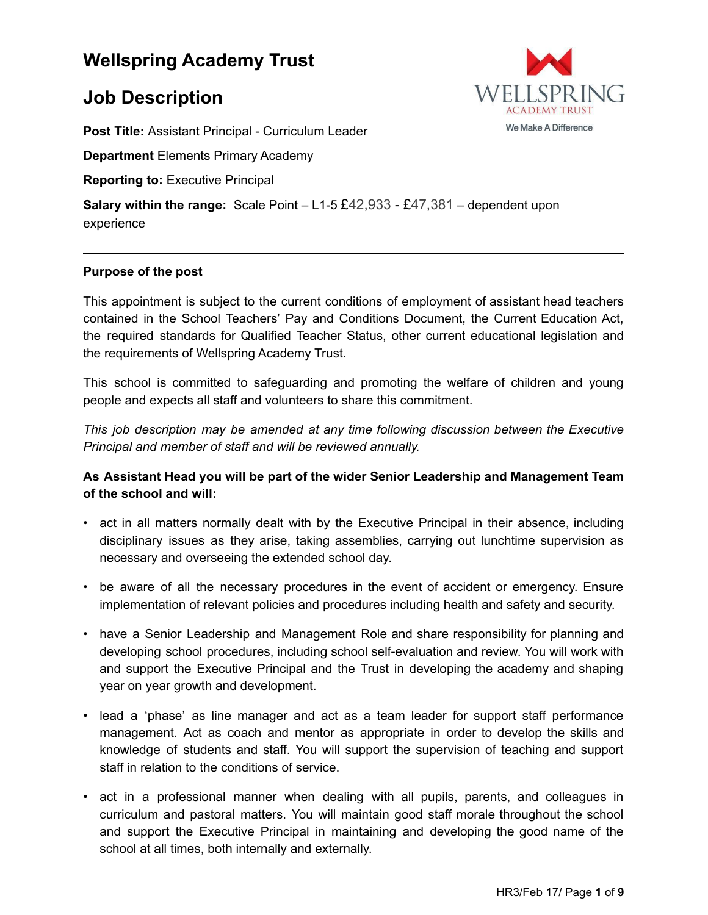# **Wellspring Academy Trust**

# **Job Description**

**Post Title:** Assistant Principal - Curriculum Leader

**Department** Elements Primary Academy

**Reporting to:** Executive Principal

**Salary within the range:** Scale Point – L1-5 £42,933 - £47,381 – dependent upon experience

#### **Purpose of the post**

This appointment is subject to the current conditions of employment of assistant head teachers contained in the School Teachers' Pay and Conditions Document, the Current Education Act, the required standards for Qualified Teacher Status, other current educational legislation and the requirements of Wellspring Academy Trust.

This school is committed to safeguarding and promoting the welfare of children and young people and expects all staff and volunteers to share this commitment.

*This job description may be amended at any time following discussion between the Executive Principal and member of staff and will be reviewed annually.*

## **As Assistant Head you will be part of the wider Senior Leadership and Management Team of the school and will:**

- act in all matters normally dealt with by the Executive Principal in their absence, including disciplinary issues as they arise, taking assemblies, carrying out lunchtime supervision as necessary and overseeing the extended school day.
- be aware of all the necessary procedures in the event of accident or emergency. Ensure implementation of relevant policies and procedures including health and safety and security.
- have a Senior Leadership and Management Role and share responsibility for planning and developing school procedures, including school self-evaluation and review. You will work with and support the Executive Principal and the Trust in developing the academy and shaping year on year growth and development.
- lead a 'phase' as line manager and act as a team leader for support staff performance management. Act as coach and mentor as appropriate in order to develop the skills and knowledge of students and staff. You will support the supervision of teaching and support staff in relation to the conditions of service.
- act in a professional manner when dealing with all pupils, parents, and colleagues in curriculum and pastoral matters. You will maintain good staff morale throughout the school and support the Executive Principal in maintaining and developing the good name of the school at all times, both internally and externally.



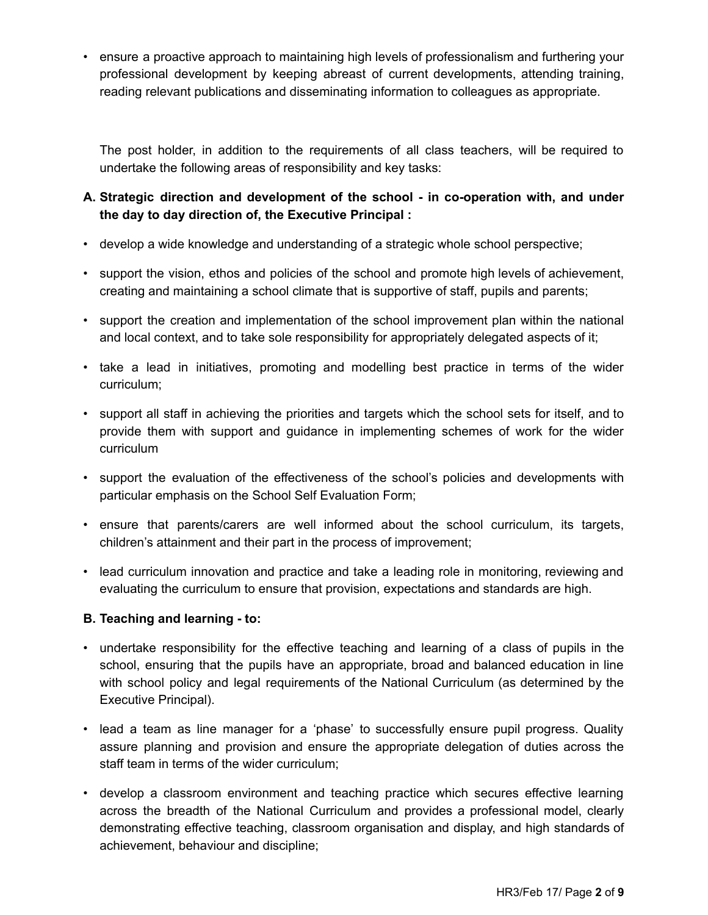• ensure a proactive approach to maintaining high levels of professionalism and furthering your professional development by keeping abreast of current developments, attending training, reading relevant publications and disseminating information to colleagues as appropriate.

The post holder, in addition to the requirements of all class teachers, will be required to undertake the following areas of responsibility and key tasks:

## **A. Strategic direction and development of the school - in co-operation with, and under the day to day direction of, the Executive Principal :**

- develop a wide knowledge and understanding of a strategic whole school perspective;
- support the vision, ethos and policies of the school and promote high levels of achievement, creating and maintaining a school climate that is supportive of staff, pupils and parents;
- support the creation and implementation of the school improvement plan within the national and local context, and to take sole responsibility for appropriately delegated aspects of it;
- take a lead in initiatives, promoting and modelling best practice in terms of the wider curriculum;
- support all staff in achieving the priorities and targets which the school sets for itself, and to provide them with support and guidance in implementing schemes of work for the wider curriculum
- support the evaluation of the effectiveness of the school's policies and developments with particular emphasis on the School Self Evaluation Form;
- ensure that parents/carers are well informed about the school curriculum, its targets, children's attainment and their part in the process of improvement;
- lead curriculum innovation and practice and take a leading role in monitoring, reviewing and evaluating the curriculum to ensure that provision, expectations and standards are high.

## **B. Teaching and learning - to:**

- undertake responsibility for the effective teaching and learning of a class of pupils in the school, ensuring that the pupils have an appropriate, broad and balanced education in line with school policy and legal requirements of the National Curriculum (as determined by the Executive Principal).
- lead a team as line manager for a 'phase' to successfully ensure pupil progress. Quality assure planning and provision and ensure the appropriate delegation of duties across the staff team in terms of the wider curriculum;
- develop a classroom environment and teaching practice which secures effective learning across the breadth of the National Curriculum and provides a professional model, clearly demonstrating effective teaching, classroom organisation and display, and high standards of achievement, behaviour and discipline;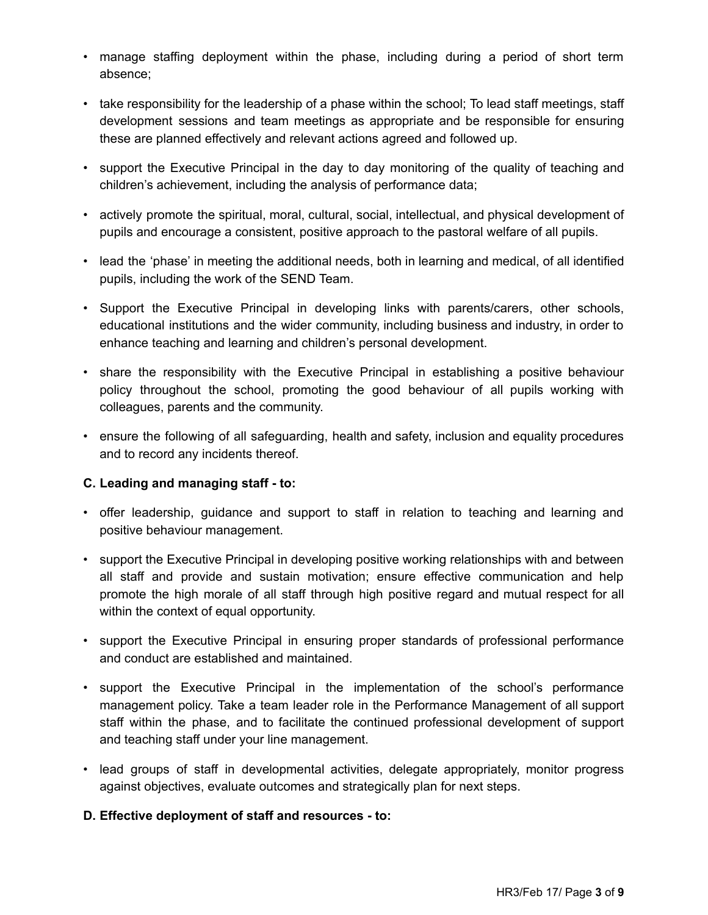- manage staffing deployment within the phase, including during a period of short term absence;
- take responsibility for the leadership of a phase within the school; To lead staff meetings, staff development sessions and team meetings as appropriate and be responsible for ensuring these are planned effectively and relevant actions agreed and followed up.
- support the Executive Principal in the day to day monitoring of the quality of teaching and children's achievement, including the analysis of performance data;
- actively promote the spiritual, moral, cultural, social, intellectual, and physical development of pupils and encourage a consistent, positive approach to the pastoral welfare of all pupils.
- lead the 'phase' in meeting the additional needs, both in learning and medical, of all identified pupils, including the work of the SEND Team.
- Support the Executive Principal in developing links with parents/carers, other schools, educational institutions and the wider community, including business and industry, in order to enhance teaching and learning and children's personal development.
- share the responsibility with the Executive Principal in establishing a positive behaviour policy throughout the school, promoting the good behaviour of all pupils working with colleagues, parents and the community.
- ensure the following of all safeguarding, health and safety, inclusion and equality procedures and to record any incidents thereof.

## **C. Leading and managing staff - to:**

- offer leadership, guidance and support to staff in relation to teaching and learning and positive behaviour management.
- support the Executive Principal in developing positive working relationships with and between all staff and provide and sustain motivation; ensure effective communication and help promote the high morale of all staff through high positive regard and mutual respect for all within the context of equal opportunity.
- support the Executive Principal in ensuring proper standards of professional performance and conduct are established and maintained.
- support the Executive Principal in the implementation of the school's performance management policy. Take a team leader role in the Performance Management of all support staff within the phase, and to facilitate the continued professional development of support and teaching staff under your line management.
- lead groups of staff in developmental activities, delegate appropriately, monitor progress against objectives, evaluate outcomes and strategically plan for next steps.

## **D. Effective deployment of staff and resources - to:**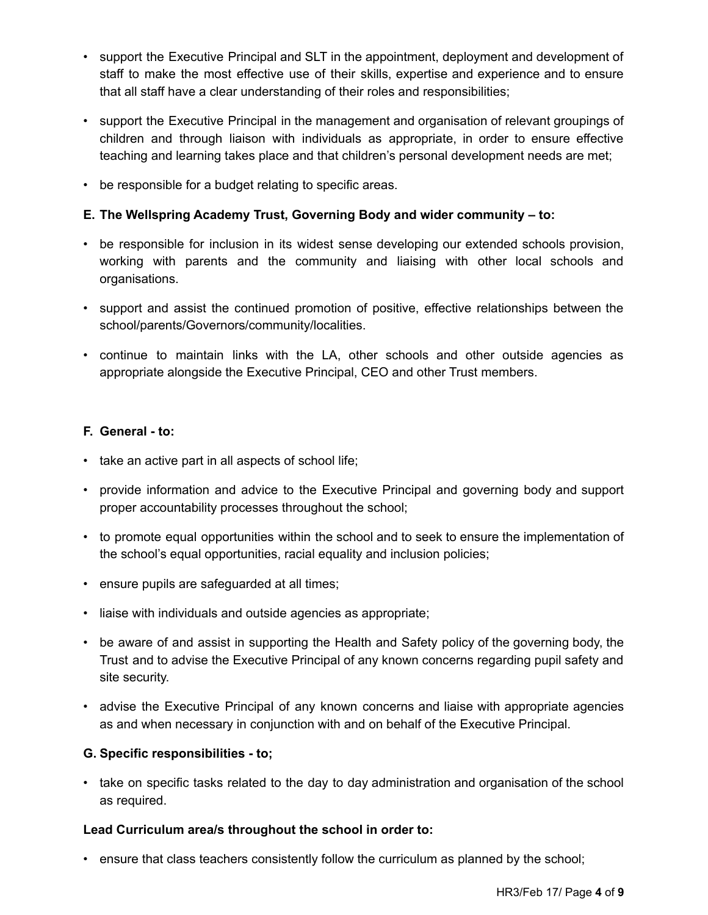- support the Executive Principal and SLT in the appointment, deployment and development of staff to make the most effective use of their skills, expertise and experience and to ensure that all staff have a clear understanding of their roles and responsibilities;
- support the Executive Principal in the management and organisation of relevant groupings of children and through liaison with individuals as appropriate, in order to ensure effective teaching and learning takes place and that children's personal development needs are met;
- be responsible for a budget relating to specific areas.

## **E. The Wellspring Academy Trust, Governing Body and wider community – to:**

- be responsible for inclusion in its widest sense developing our extended schools provision, working with parents and the community and liaising with other local schools and organisations.
- support and assist the continued promotion of positive, effective relationships between the school/parents/Governors/community/localities.
- continue to maintain links with the LA, other schools and other outside agencies as appropriate alongside the Executive Principal, CEO and other Trust members.

## **F. General - to:**

- take an active part in all aspects of school life;
- provide information and advice to the Executive Principal and governing body and support proper accountability processes throughout the school;
- to promote equal opportunities within the school and to seek to ensure the implementation of the school's equal opportunities, racial equality and inclusion policies;
- ensure pupils are safeguarded at all times;
- liaise with individuals and outside agencies as appropriate;
- be aware of and assist in supporting the Health and Safety policy of the governing body, the Trust and to advise the Executive Principal of any known concerns regarding pupil safety and site security.
- advise the Executive Principal of any known concerns and liaise with appropriate agencies as and when necessary in conjunction with and on behalf of the Executive Principal.

## **G. Specific responsibilities - to;**

• take on specific tasks related to the day to day administration and organisation of the school as required.

#### **Lead Curriculum area/s throughout the school in order to:**

• ensure that class teachers consistently follow the curriculum as planned by the school;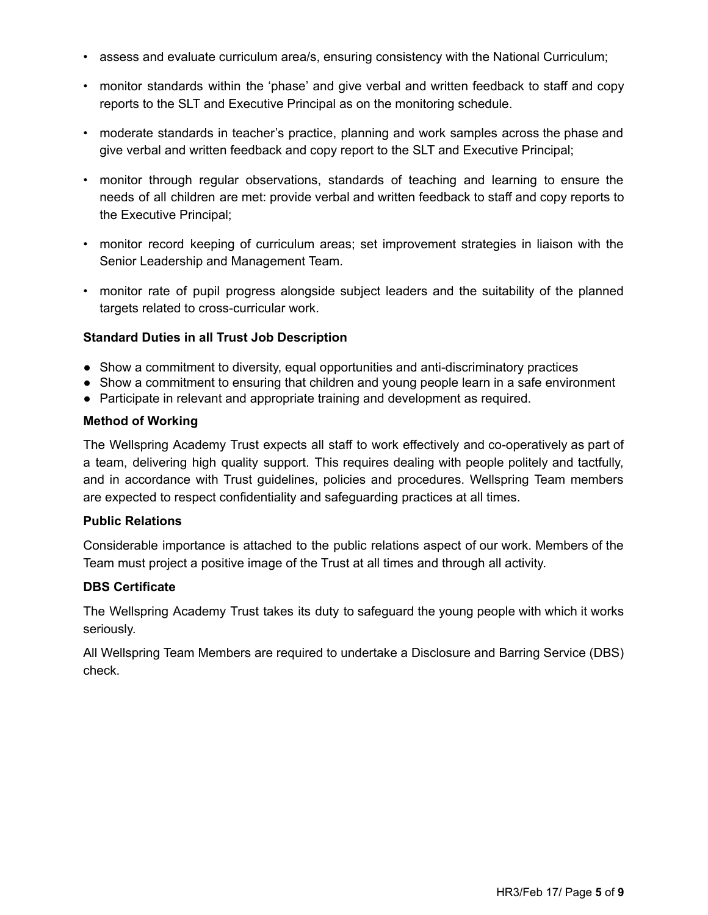- assess and evaluate curriculum area/s, ensuring consistency with the National Curriculum;
- monitor standards within the 'phase' and give verbal and written feedback to staff and copy reports to the SLT and Executive Principal as on the monitoring schedule.
- moderate standards in teacher's practice, planning and work samples across the phase and give verbal and written feedback and copy report to the SLT and Executive Principal;
- monitor through regular observations, standards of teaching and learning to ensure the needs of all children are met: provide verbal and written feedback to staff and copy reports to the Executive Principal;
- monitor record keeping of curriculum areas; set improvement strategies in liaison with the Senior Leadership and Management Team.
- monitor rate of pupil progress alongside subject leaders and the suitability of the planned targets related to cross-curricular work.

#### **Standard Duties in all Trust Job Description**

- Show a commitment to diversity, equal opportunities and anti-discriminatory practices
- Show a commitment to ensuring that children and young people learn in a safe environment
- Participate in relevant and appropriate training and development as required.

#### **Method of Working**

The Wellspring Academy Trust expects all staff to work effectively and co-operatively as part of a team, delivering high quality support. This requires dealing with people politely and tactfully, and in accordance with Trust guidelines, policies and procedures. Wellspring Team members are expected to respect confidentiality and safeguarding practices at all times.

#### **Public Relations**

Considerable importance is attached to the public relations aspect of our work. Members of the Team must project a positive image of the Trust at all times and through all activity.

#### **DBS Certificate**

The Wellspring Academy Trust takes its duty to safeguard the young people with which it works seriously.

All Wellspring Team Members are required to undertake a Disclosure and Barring Service (DBS) check.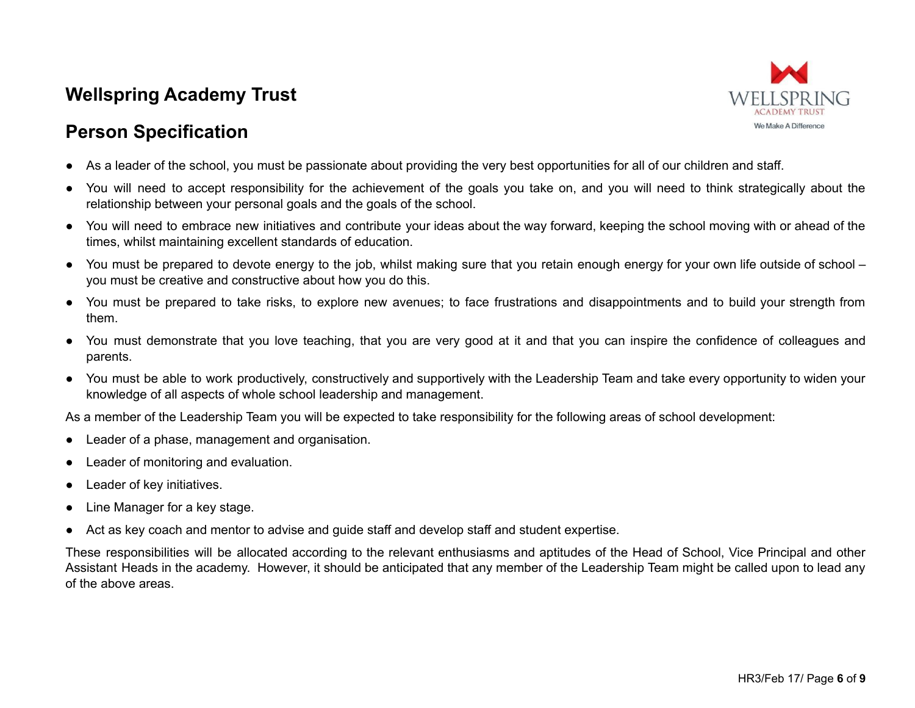# **Wellspring Academy Trust**





- As a leader of the school, you must be passionate about providing the very best opportunities for all of our children and staff.
- You will need to accept responsibility for the achievement of the goals you take on, and you will need to think strategically about the relationship between your personal goals and the goals of the school.
- You will need to embrace new initiatives and contribute your ideas about the way forward, keeping the school moving with or ahead of the times, whilst maintaining excellent standards of education.
- You must be prepared to devote energy to the job, whilst making sure that you retain enough energy for your own life outside of school you must be creative and constructive about how you do this.
- You must be prepared to take risks, to explore new avenues; to face frustrations and disappointments and to build your strength from them.
- You must demonstrate that you love teaching, that you are very good at it and that you can inspire the confidence of colleagues and parents.
- You must be able to work productively, constructively and supportively with the Leadership Team and take every opportunity to widen your knowledge of all aspects of whole school leadership and management.

As a member of the Leadership Team you will be expected to take responsibility for the following areas of school development:

- Leader of a phase, management and organisation.
- Leader of monitoring and evaluation.
- Leader of key initiatives.
- Line Manager for a key stage.
- Act as key coach and mentor to advise and guide staff and develop staff and student expertise.

These responsibilities will be allocated according to the relevant enthusiasms and aptitudes of the Head of School, Vice Principal and other Assistant Heads in the academy. However, it should be anticipated that any member of the Leadership Team might be called upon to lead any of the above areas.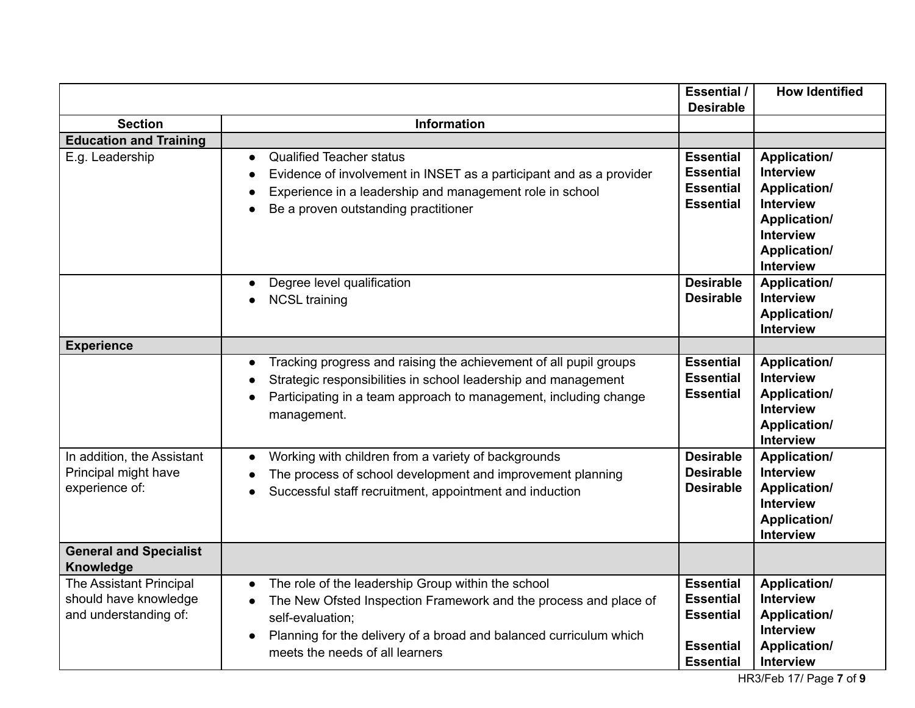|                                                                           |                                                                                                                                                                                                                                                                                            | Essential /<br><b>Desirable</b>                                                                  | <b>How Identified</b>                                                                                                                               |
|---------------------------------------------------------------------------|--------------------------------------------------------------------------------------------------------------------------------------------------------------------------------------------------------------------------------------------------------------------------------------------|--------------------------------------------------------------------------------------------------|-----------------------------------------------------------------------------------------------------------------------------------------------------|
| <b>Section</b>                                                            | <b>Information</b>                                                                                                                                                                                                                                                                         |                                                                                                  |                                                                                                                                                     |
| <b>Education and Training</b>                                             |                                                                                                                                                                                                                                                                                            |                                                                                                  |                                                                                                                                                     |
| E.g. Leadership                                                           | <b>Qualified Teacher status</b><br>$\bullet$<br>Evidence of involvement in INSET as a participant and as a provider<br>$\bullet$<br>Experience in a leadership and management role in school<br>$\bullet$<br>Be a proven outstanding practitioner<br>$\bullet$                             | <b>Essential</b><br><b>Essential</b><br><b>Essential</b><br><b>Essential</b>                     | Application/<br><b>Interview</b><br><b>Application/</b><br><b>Interview</b><br>Application/<br><b>Interview</b><br>Application/<br><b>Interview</b> |
|                                                                           | Degree level qualification<br>$\bullet$<br><b>NCSL training</b><br>$\bullet$                                                                                                                                                                                                               | <b>Desirable</b><br><b>Desirable</b>                                                             | Application/<br><b>Interview</b><br><b>Application/</b><br><b>Interview</b>                                                                         |
| <b>Experience</b>                                                         |                                                                                                                                                                                                                                                                                            |                                                                                                  |                                                                                                                                                     |
|                                                                           | Tracking progress and raising the achievement of all pupil groups<br>$\bullet$<br>Strategic responsibilities in school leadership and management<br>Participating in a team approach to management, including change<br>management.                                                        | <b>Essential</b><br><b>Essential</b><br><b>Essential</b>                                         | <b>Application/</b><br><b>Interview</b><br>Application/<br><b>Interview</b><br>Application/<br><b>Interview</b>                                     |
| In addition, the Assistant<br>Principal might have<br>experience of:      | Working with children from a variety of backgrounds<br>$\bullet$<br>The process of school development and improvement planning<br>$\bullet$<br>Successful staff recruitment, appointment and induction                                                                                     | <b>Desirable</b><br><b>Desirable</b><br><b>Desirable</b>                                         | Application/<br><b>Interview</b><br>Application/<br><b>Interview</b><br><b>Application/</b><br><b>Interview</b>                                     |
| <b>General and Specialist</b><br>Knowledge                                |                                                                                                                                                                                                                                                                                            |                                                                                                  |                                                                                                                                                     |
| The Assistant Principal<br>should have knowledge<br>and understanding of: | The role of the leadership Group within the school<br>$\bullet$<br>The New Ofsted Inspection Framework and the process and place of<br>$\bullet$<br>self-evaluation:<br>Planning for the delivery of a broad and balanced curriculum which<br>$\bullet$<br>meets the needs of all learners | <b>Essential</b><br><b>Essential</b><br><b>Essential</b><br><b>Essential</b><br><b>Essential</b> | Application/<br><b>Interview</b><br><b>Application/</b><br><b>Interview</b><br><b>Application/</b><br>Interview                                     |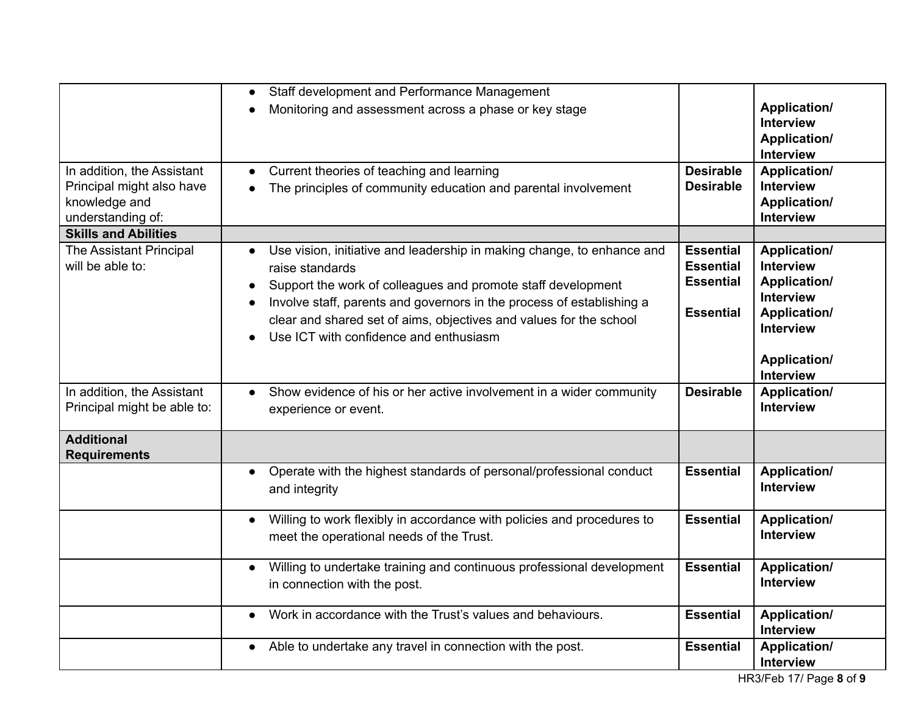|                                                                                               | Staff development and Performance Management<br>$\bullet$                                                                                                                                                                                                                                                                                                       |                                                                              |                                                                                                                                                                          |
|-----------------------------------------------------------------------------------------------|-----------------------------------------------------------------------------------------------------------------------------------------------------------------------------------------------------------------------------------------------------------------------------------------------------------------------------------------------------------------|------------------------------------------------------------------------------|--------------------------------------------------------------------------------------------------------------------------------------------------------------------------|
|                                                                                               | Monitoring and assessment across a phase or key stage<br>$\bullet$                                                                                                                                                                                                                                                                                              |                                                                              | <b>Application/</b><br><b>Interview</b><br>Application/<br><b>Interview</b>                                                                                              |
| In addition, the Assistant<br>Principal might also have<br>knowledge and<br>understanding of: | Current theories of teaching and learning<br>$\bullet$<br>The principles of community education and parental involvement<br>$\bullet$                                                                                                                                                                                                                           | <b>Desirable</b><br><b>Desirable</b>                                         | <b>Application/</b><br><b>Interview</b><br><b>Application/</b><br><b>Interview</b>                                                                                       |
| <b>Skills and Abilities</b>                                                                   |                                                                                                                                                                                                                                                                                                                                                                 |                                                                              |                                                                                                                                                                          |
| The Assistant Principal<br>will be able to:                                                   | Use vision, initiative and leadership in making change, to enhance and<br>raise standards<br>Support the work of colleagues and promote staff development<br>Involve staff, parents and governors in the process of establishing a<br>clear and shared set of aims, objectives and values for the school<br>Use ICT with confidence and enthusiasm<br>$\bullet$ | <b>Essential</b><br><b>Essential</b><br><b>Essential</b><br><b>Essential</b> | <b>Application/</b><br><b>Interview</b><br><b>Application/</b><br><b>Interview</b><br><b>Application/</b><br><b>Interview</b><br><b>Application/</b><br><b>Interview</b> |
| In addition, the Assistant<br>Principal might be able to:                                     | Show evidence of his or her active involvement in a wider community<br>$\bullet$<br>experience or event.                                                                                                                                                                                                                                                        | <b>Desirable</b>                                                             | <b>Application/</b><br><b>Interview</b>                                                                                                                                  |
| <b>Additional</b><br><b>Requirements</b>                                                      |                                                                                                                                                                                                                                                                                                                                                                 |                                                                              |                                                                                                                                                                          |
|                                                                                               | Operate with the highest standards of personal/professional conduct<br>$\bullet$<br>and integrity                                                                                                                                                                                                                                                               | <b>Essential</b>                                                             | <b>Application/</b><br><b>Interview</b>                                                                                                                                  |
|                                                                                               | Willing to work flexibly in accordance with policies and procedures to<br>$\bullet$<br>meet the operational needs of the Trust.                                                                                                                                                                                                                                 | <b>Essential</b>                                                             | <b>Application/</b><br><b>Interview</b>                                                                                                                                  |
|                                                                                               | Willing to undertake training and continuous professional development<br>$\bullet$<br>in connection with the post.                                                                                                                                                                                                                                              | <b>Essential</b>                                                             | <b>Application/</b><br><b>Interview</b>                                                                                                                                  |
|                                                                                               | Work in accordance with the Trust's values and behaviours.<br>$\bullet$                                                                                                                                                                                                                                                                                         | <b>Essential</b>                                                             | <b>Application/</b><br><b>Interview</b>                                                                                                                                  |
|                                                                                               | Able to undertake any travel in connection with the post.<br>$\bullet$                                                                                                                                                                                                                                                                                          | <b>Essential</b>                                                             | <b>Application/</b><br>Interview                                                                                                                                         |